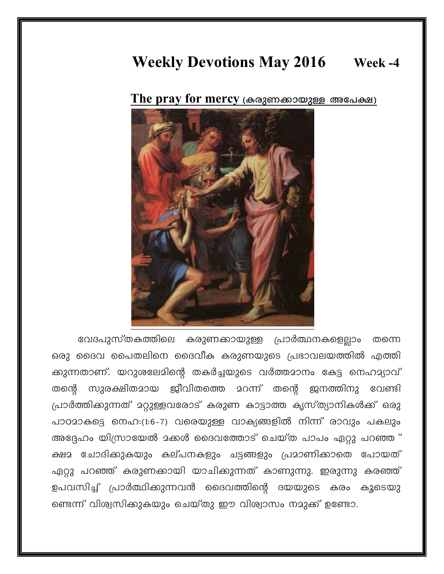## **Weekly Devotions May 2016** Week -4

The pray for mercy (കരുണക്കായുള്ള അപേക്ഷ)



വേദപുസ്തകത്തിലെ കരുണക്കായുള്ള പ്രാർത്ഥനകളെല്ലാം തന്നെ ഒരു ദൈവ പൈതലിനെ ദൈവീക കരുണയുടെ പ്രഭാവലയത്തിൽ എത്തി ക്കുന്നതാണ്. യറുശലേമിന്റെ തകർച്ചയുടെ വർത്തമാനം കേട്ട നെഹമ്യാവ് സുരക്ഷിതമായ ജീവിതത്തെ മറന്ന് തന്റെ ജനത്തിനു തന്തെ വേണ്ടി പ്രാർത്തിക്കുന്നത് മറ്റുള്ളവരോട് കരുണ കാട്ടാത്ത കൃസ്ത്യാനികൾക്ക് ഒരു പാഠമാകട്ടെ നെഹ:(1:6-7) വരെയുള്ള വാക്യങ്ങളിൽ നിന്ന് രാവും പകലും അദ്ദേഹം യിസ്രായേൽ മക്കൾ ദൈവത്തോട് ചെയ്ത പാപം ഏറ്റു പറഞ്ഞ ് ക്ഷമ ചോദിക്കുകയും കല്പനകളും ചട്ടങ്ങളും പ്രമാണിക്കാതെ പോയത് ഏറ്റു പറഞ്ഞ് കരുണക്കായി യാചിക്കുന്നത് കാണുന്നു. ഇരുന്നു കരഞ്ഞ് ഉപവസിച്ച് പ്രാർത്ഥിക്കുന്നവൻ ദൈവത്തിന്റെ ദയയുടെ കരം കൂടെയു ണ്ടെന്ന് വിശ്വസിക്കുകയും ചെയ്തു ഈ വിശ്വാസം നമുക്ക് ഉണ്ടോ.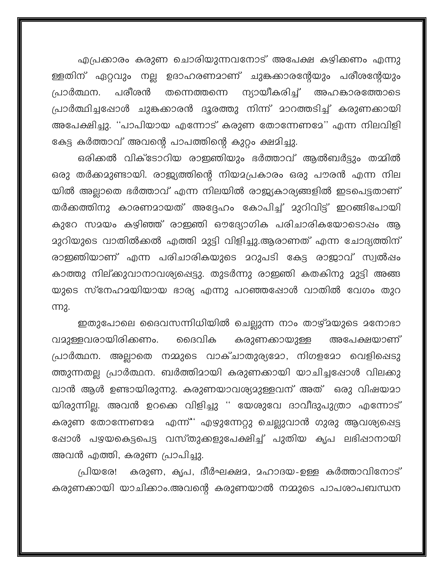എപ്രക്കാരം കരുണ ചൊരിയുന്നവനോട് അപേക്ഷ കഴിക്കണം എന്നു ള്ളതിന് ഏറ്റവും നല്ല ഉദാഹരണമാണ് ചുങ്കക്കാരന്റേയും പരീശന്റേയും ന്യായീകരിച്ച് അഹങ്കാരത്തോടെ പരീശൻ പ്രാർത്ഥന. തന്നെത്തന്നെ പ്രാർത്ഥിച്ചപ്പോൾ ചുങ്കക്കാരൻ ദൂരത്തു നിന്ന് മാറത്തടിച്ച് കരുണക്കായി അപേക്ഷിച്ചു. ''പാപിയായ എന്നോട് കരുണ തോന്നേണമേ'' എന്ന നിലവിളി കേട്ട കർത്താവ് അവന്റെ പാപത്തിന്റെ കുറ്റം ക്ഷമിച്ചു.

ഒരിക്കൽ വിക്ടോറിയ രാഇഞിയും ഭർത്താവ് ആൽബർട്ടും തമ്മിൽ ഒരു തർക്കമുണ്ടായി. രാജ്യത്തിന്റെ നിയമപ്രകാരം ഒരു പൗരൻ എന്ന നില യിൽ അല്ലാതെ ഭർത്താവ് എന്ന നിലയിൽ രാജ്യകാര്യങ്ങളിൽ ഇടപെട്ടതാണ് തർക്കത്തിനു കാരണമായത് അദ്ദേഹം കോപിച്ച് മുറിവിട്ട് ഇറങ്ങിപോയി കുറേ സമയം കഴിഞ്ഞ് രാഇഞി ഔദ്യോഗിക പരിചാരികയോടൊഷം ആ മുറിയുടെ വാതിൽക്കൽ എത്തി മുട്ടി വിളിച്ചു.ആരാണത് എന്ന ചോദ്യത്തിന് രാഇഞിയാണ് എന്ന പരിചാരികയുടെ മറുപടി കേട്ട രാജാവ് സ്വൽഷം കാത്തു നില്ക്കുവാനാവശ്യപ്പെട്ടു. തുടർന്നു രാഇഞി കതകിനു മുട്ടി അങ്ങ യുടെ സ്നേഹമയിയായ ഭാര്യ എന്നു പറഞ്ഞപ്പോൾ വാതിൽ വേഗം തുറ m<sub>2</sub>.

ഇതുപോലെ ദൈവസന്നിധിയിൽ ചെല്ലുന്ന നാം താഴ്മയുടെ മനോഭാ വമുള്ളവരായിരിക്കണം. ദൈവിക കരുണക്കായുള്ള അപേക്ഷയാണ് പ്രാർത്ഥന. അല്ലാതെ നമ്മുടെ വാക്ചാതുര്യമോ, നിഗളമോ വെളിഷെടു ത്തുന്നതല്ല പ്രാർത്ഥന. ബർത്തിമായി കരുണക്കായി യാചിച്ചപ്പോൾ വിലക്കു വാൻ ആൾ ഉണ്ടായിരുന്നു. കരുണയാവശ്യമുള്ളവന് അത് ഒരു വിഷയമാ യിരുന്നില്ല. അവൻ ഉറക്കെ വിളിച്ചു '' യേശുവേ ദാവീദുപുത്രാ എന്നോട് കരുണ തോന്നേണമേ എന്ന്' എഴുന്നേറ്റു ചെല്ലുവാൻ ഗുരു ആവശ്യപ്പെട്ട ഷോൾ പഴയകെട്ടപെട്ട വസ്തുക്കളുപേക്ഷിച്ച് പുതിയ കൃപ ലഭിഷാനായി അവൻ എത്തി, കരുണ പ്രാപിച്ചു.

കരുണ, കൃപ, ദീർഘക്ഷമ, മഹാദയ-ഉള്ള കർത്താവിനോട് പ്രിയരേ! കരുണക്കായി യാചിക്കാം.അവന്റെ കരുണയാൽ നമ്മുടെ പാപശാപബന്ധന